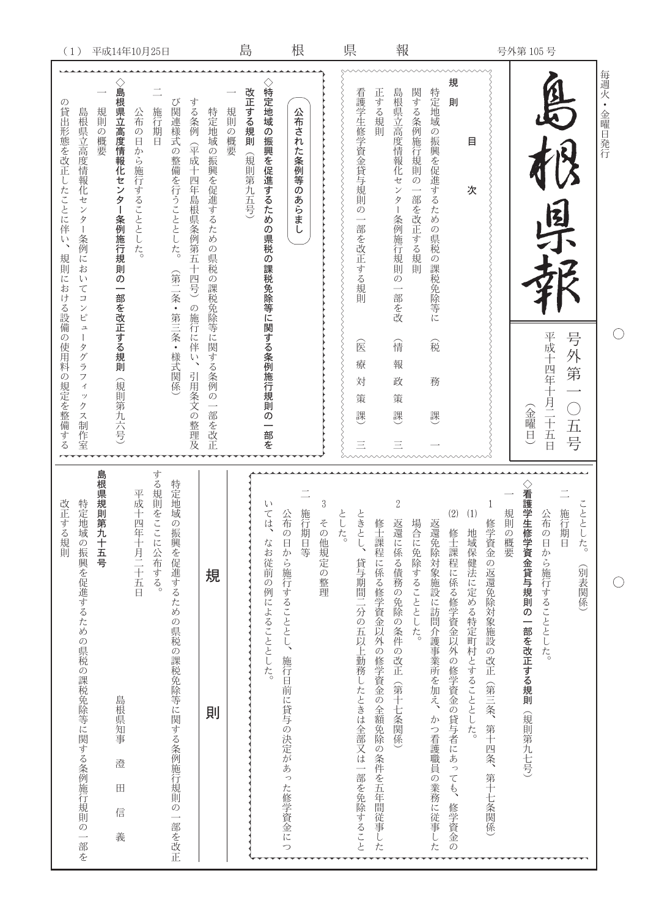|             | 每週火·金曜日発行                                                                            |                                                                                                                    |
|-------------|--------------------------------------------------------------------------------------|--------------------------------------------------------------------------------------------------------------------|
| 号外第 105号    | 四日<br>平成十四年十月二十五日<br>号外第一〇五号<br>(金曜日)                                                | ◇看護学生修学資金貸与規則の一部を改正する規則(規則第九七号)<br>こととした。<br>規則の概要<br>施行期日<br>公布の日から施行することとした。<br>(別表関係)                           |
|             | 規<br>則<br>目<br>次                                                                     | (2)<br>(1)<br>修学資金の返還免除対象施設の改正(第三条、第十四条、第十七条関係)<br>修士課程に係る修学資金以外の修学資金の貸与者にあっても、<br>地域保健法に定める特定町村とすることとした。<br>修学資金の |
|             | 関する条例施行規則の<br>特定地域の振興を促進するための県税の課税免除等に<br>一部を改正する規則<br>稅<br>務<br>謏                   | 場合に免除することとした。<br>返還免除対象施設に訪問介護事業所を加え、<br>かつ看護職員の業務に従事した                                                            |
| 報           | 島根県立高度情報化セン<br>正する規則<br>ター条例施行規則の<br>一部を改<br>信<br>報<br>政<br>策<br>課<br>Ξ              | $\sqrt{2}$<br>修士課程に係る修学資金以外の修学資金の全額免除の条件を五年間従事した<br>返還に係る債務の免除の条件の改正(第十七条関係)                                       |
| 県           | 看護学生修学資金貸与規則の一部を改正する規則<br>会<br>療<br>対<br>策<br>課<br>Ξ                                 | ときとし、貸与期間二分の五以上勤務したときは全部又は一部を免除すること<br>とし<br>た。                                                                    |
| 根           | 公布された条例等のあらまし                                                                        | $\,3$<br>施行期日等<br>公布の日から施行することとし、施行日前に貸与の決定があった修学資金につ<br>その他規定の整理                                                  |
| 島           | ◇特定地域の振興を促進するための県税の課税免除等に関する条例施行規則の一部を<br>改正する規則<br>規則の概要<br>(規則第九五号)                | Ţ,<br>ては、<br>なお従前の例によることとした。                                                                                       |
|             | する条例<br>特定地域の振興を促進するための県税の課税免除等に関する条例の一部を改正<br>(平成十四年島根県条例第五十四号) の施行に伴い、<br>引用条文の整理及 | 規<br>則                                                                                                             |
|             | び関連様式の整備を行うこととした。<br>施行期日<br>(第二条・第三条・様式関係                                           | する規則をここに公布する。<br>特定地域の振興を促進するための県税の課税免除等に関する条例施行規則の一部を改正                                                           |
|             | 公布の日から施行することとした。                                                                     | 平成十四年十月二十五日                                                                                                        |
| 平成14年10月25日 | ◇島根県立高度情報化センター条例施行規則の一部を改正する規則<br>規則の概要<br>(規則第九六号)                                  | 島根県規則第<br>几十五号<br>島根県知事<br>澄<br>$\blacksquare$<br>信<br>義                                                           |
| (1)         | 島根県立高度情報化センター条例においてコンピュー<br>タグラフィックス制作室                                              | 特定地域の振興を促進するための県税の課税免除等に関する条例施行規則の一部を                                                                              |
|             | $\mathcal{O}$<br>貸出形態を改正したことに伴い、<br>規則に<br>おける設備の使用料の<br>規定を整備する                     | 改正する規則                                                                                                             |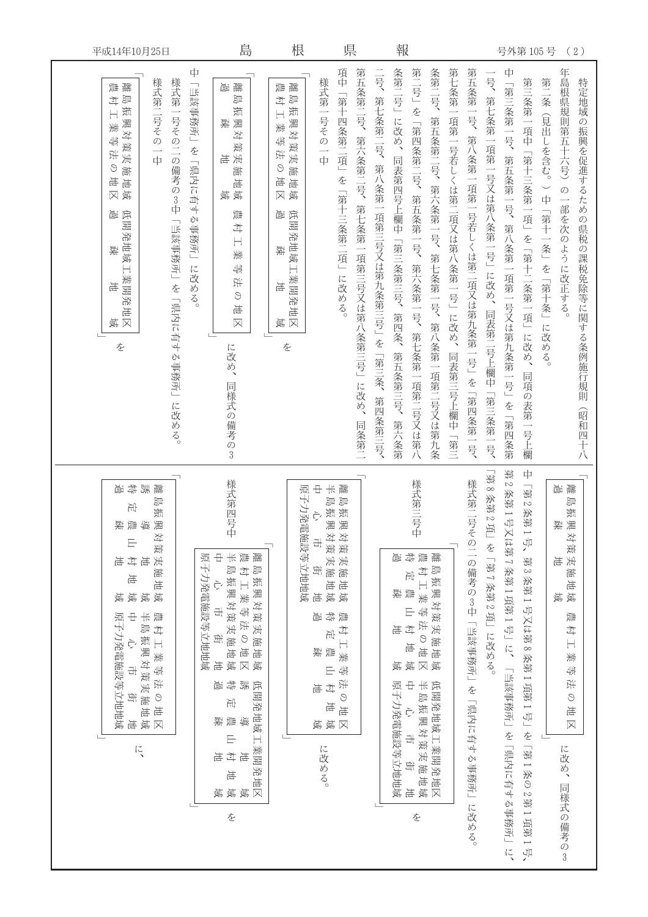| 平成14年10月25日                                                                                                                                                       |                                                                                                                                     | 島                                                                                                                                                                                                                                                                                                   | 根                                                                                                                                                                                                                | 県                                                                                                     | 報                                                                                                                                                                                 |                                                                                                                                        | 号外第105号                                                                                                                           | (2)                                                                                                                                                            |
|-------------------------------------------------------------------------------------------------------------------------------------------------------------------|-------------------------------------------------------------------------------------------------------------------------------------|-----------------------------------------------------------------------------------------------------------------------------------------------------------------------------------------------------------------------------------------------------------------------------------------------------|------------------------------------------------------------------------------------------------------------------------------------------------------------------------------------------------------------------|-------------------------------------------------------------------------------------------------------|-----------------------------------------------------------------------------------------------------------------------------------------------------------------------------------|----------------------------------------------------------------------------------------------------------------------------------------|-----------------------------------------------------------------------------------------------------------------------------------|----------------------------------------------------------------------------------------------------------------------------------------------------------------|
| 様式第二号その<br>離<br>ᇓ<br>剛<br>才<br>振<br>興対策実施地<br>美<br>塢<br>浜<br>₫1<br>$\Theta$<br>坦<br>興<br>冈<br>低開発地域<br>匬<br>疎<br>$\Box$<br>業開発<br>岩<br>岩<br>$\boxtimes$<br>眞<br>を | 中<br>様式第一号その二の備考の3中<br>「当該事務所」や「県内に有する事務所」<br>嵐<br>读<br>嵩<br>覚<br>「当該事務所」や「県内に有する事務所」<br>に改める。<br>に改め、<br>同様式の備考の3<br>に改める。         | 鞴<br>聾<br>臝<br>一<br>$\frac{1}{2}$<br>才<br>振<br>振<br>澳対<br>興対<br>美<br>4<br>美<br>策美施地<br>浜<br>実施地<br>$\odot$<br>运<br>眞<br>尊<br>冈<br>嶾<br>匬<br>低開発地域工<br>斗<br>$\overline{\mathbb{H}}$<br>座<br>美<br>41<br>業開発地<br>$\frac{1}{2}$<br>语<br>$\odot$<br>地<br>$\overline{\boxtimes}$<br>$\boxtimes$<br>覚<br>を | 項中「第十四条第二項」を「第十三条第二項」に改める。<br>様式第一号その<br>一中                                                                                                                                                                      | 二号、第七条第二号、第八条第一項第三号又は第九条第三号」を「第三条、<br>第五条第二号、<br>第六条第二号、<br>第七条第一項第三号又は第八条第三号」に改め、<br>第四条第三号、<br>同条第二 | 条第二号」に改め、<br>第二号」を「第四条第二号、第五条第一号、第六条第一号、第七条第一項第二号又は第八<br>条第二号、<br>第五条第二号、第六条第一号、第七条第一号、<br>同表第四号上欄中「第三条第三号、<br>第四条、<br>第八条第一項第二号又は第九条<br>第五条第三号、<br>第六条第                          | 第七条第一項第一号若しくは第二項又は第八条第一号」に改め、<br>第五条第一号、第八条第一項第一号若しくは第二項又は第九条第一号」を「第四条第一号、<br>一号、第七条第一項第一号又は第八条第一号」に改め、同表第二号上欄中「第三条第一号、<br>同表第三号上欄中「第三 | 中<br>第三条第一項中「第十三条第一項」を「第十二条第一項」に改め、同項の表第一号上欄<br>第二条(見出しを含む。)中「第十一条」を「第十条」に改める。<br>「第三条第一号、第五条第一号、第八条第一項第一号又は第九条第一号」<br>を「第四条第     | 年島根県規則第五十六号)<br>特定地域の振興を促進するための県税の課税免除等に関する条例施行規則<br>の一部を次のように改正する。<br>(昭和四十八                                                                                  |
| 挚<br>誘<br>聾<br>崮<br>卹<br>出<br>振<br>潿<br>黛<br>靊<br>疎<br>対策実施地域<br>E<br>斗<br>电<br>亳<br>地<br>域域<br>寡<br>半島振興対策実施地域<br>$\pm$<br>農村工業等法の地区<br>原子力発電施設等立地地域<br>亳<br>に、  | 様式第四号<br>中<br>半晶瓶酸对策类脑性域<br>中心 宁 电<br>原子力発電施設等立地地域<br>彝<br>嵐<br>压<br>틯<br>疎<br>$\equiv$<br>$\overrightarrow{z}$<br>坦<br>运<br>寡<br>を | 離島振興対策実施地域<br>農村工業等法の地<br>$\overline{\mathsf{X}}$<br>豁<br>低開発地域工業開発地区<br>鎮<br>地<br>域域                                                                                                                                                                                                               | $\pm$<br>$\frac{1}{\sqrt{2}}$<br>離肌<br>原子力発電施設等立地地域<br>剛<br>振興<br>振興<br>È,<br>ll对策実施地域<br>ll对策実施地域<br>라<br>街<br>岩<br>特過<br>靊<br>村工業<br>压<br>들<br>承<br>4<br>E<br>法の地<br>斗<br>坦<br>地<br>域域<br>$\boxtimes$<br>に改める。 |                                                                                                       | 様式第三号中<br>建立半等法の地<br>特 元 農 山 村 地<br>離島振興対策実施地域<br>嵐<br>承<br>询<br>$\overline{\boxtimes}$<br>眞<br>覚<br>$\pm$<br>半島振興対策実施地域<br>低開発地域工業開発地区<br>原子力発電施設等立地地域<br>Ç,<br>라<br>街<br>岩<br>を | [第8 姿貌 2項] や [第1線 3項] に投める。<br>様式第二号その二の備考の3中「峠赇岬掾型」を「洫[ム]に仲]。岬[琰]」」<br>に改める。                                                          | 第<br>中<br>$\mathbb{C}$<br>[第2<br>条第1号<br>救新<br>又は第7条第1項第1号」2、<br>1号,<br>第3条第1号又は第8条第1項第1号」や「第1条の2第1項第1号、<br>「当該事務所」や「県内に有する事務所」と、 | 鞴<br>嵐<br>卹<br>振興<br>疎<br>对策実施地域<br>亳<br>覚<br>틯<br>弍<br>$\overline{\overline{a}}$<br>美<br>4<br>浜<br>$\bigcirc$<br>地<br>$\overline{\mathsf{X}}$<br>に改め、同様式の備考の3 |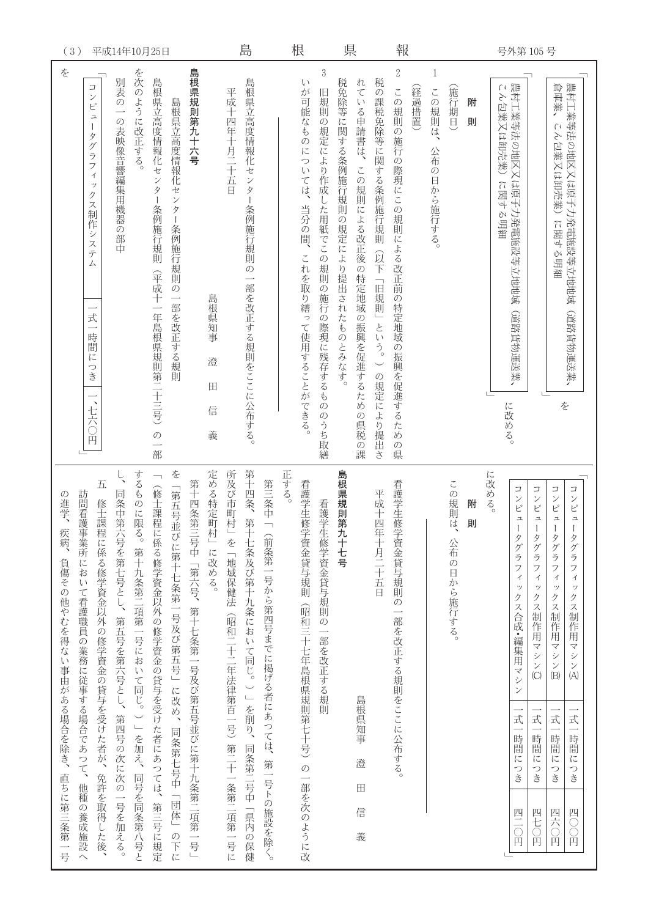|                                                | (3)<br>平成14年10月25日                                                                                                                                                                                                             |                                                       |                                          |                                                                                            |                                        |                                         | 島                         |                                          |                                                | 根                                           |      | 県                                                          |                                                      |                                  | 報                                               |                                                           |                                                      |        |                            |                          | 号外第105号 |                           |                                                                                                                 |                                                                                      |                                                                                       |                                               |
|------------------------------------------------|--------------------------------------------------------------------------------------------------------------------------------------------------------------------------------------------------------------------------------|-------------------------------------------------------|------------------------------------------|--------------------------------------------------------------------------------------------|----------------------------------------|-----------------------------------------|---------------------------|------------------------------------------|------------------------------------------------|---------------------------------------------|------|------------------------------------------------------------|------------------------------------------------------|----------------------------------|-------------------------------------------------|-----------------------------------------------------------|------------------------------------------------------|--------|----------------------------|--------------------------|---------|---------------------------|-----------------------------------------------------------------------------------------------------------------|--------------------------------------------------------------------------------------|---------------------------------------------------------------------------------------|-----------------------------------------------|
| を                                              | $\Box$<br>$\checkmark$<br>ピ<br>$\overline{\phantom{a}}$<br>タ<br>グ<br>ラ<br>フ<br>$\overline{\mathcal{A}}$<br>ッ<br>ク<br>$\overline{\mathcal{X}}$<br>制作<br>シ<br>ステ<br>厶<br>式<br>$\overline{\phantom{0}}$<br>時間に<br>つき<br>、七六〇<br>Ă | 別表<br>$\mathcal{O}$<br>$\mathcal{O}$<br>表映像音響編集用機器の部中 | を次のように改正する。                              | 島根県立高度情報化セ<br>$\mathcal{V}$<br>ター<br>条例施行規則<br>(平成十<br>一年島根県規則第二十三号)<br>$\mathcal{O}$<br>部 | 島根県立高度情報化センター<br>条例施行規則の<br>一部を改正する規則  | 島根県規則第九十六号                              | 島根県知事<br>澄<br>田<br>信<br>義 | 平成十四年十月二十五日                              | 島根県立高度情報化センター<br>条例施行規則の<br>一部を改正する規則をここに公布する。 |                                             |      | $\int$<br>が可能なものについ<br>ては、<br>当分の間、<br>これを取り繕って使用することができる。 | $\sqrt{3}$<br>旧規則の規定により作成した用紙でこの規則の施行の際現に残存するもののうち取繕 | 税免除等に関する条例施行規則の規定により提出されたものとみなす。 | れている申請書は、<br>この規則による改正後の特定地域の振興を促進するため<br>の県税の課 | 税の課税免除等に関する条例施行規則<br><b>QR下</b><br>「旧規則」という。<br>の規定により提出さ | $\sqrt{2}$<br>この規則の施行の際現にこの規則による改正前の特定地域の振興を促進するための県 | (経過措置) | 1<br>この規則は、<br>公布の日から施行する。 | (施行期日)                   | 附<br>則  | L1<br>ん包業又は卸売業)<br>に関する明細 | 農村工業等法の地区又は原子力発電施設等立地地域<br>(道路貨物運送業、<br>に改める。                                                                   |                                                                                      | 倉庫業,<br>$\bigcap$<br>ん包業又は卸売業)<br>に関する明細<br>を                                         | 農村工業等法の地区又は原子力発電施設等立地地域<br>(道路貨物運送業           |
| の進学、<br>疾病、<br>負傷その他やむを得ない事由がある場合を除き、直ちに第三条第一号 | 五<br>訪問看護事業所において看護職員の業務に従事する場合であつて、<br>修士課程に係る修学資金以外の修学資金の貸与を受けた者が、免許を取得した後、<br>他種の養成施設へ                                                                                                                                       | 同条中第六号を第七号とし、第五号を第六号とし、<br>第四号の次に次の一号を加える。            | するものに限る。第十九条第二項第一号において同じ。)」を加え、同号を同条第八号と | (修士課程に係る修学資金以外の修学資金の貸与を受けた者にあつては、第三号に規定                                                    | を「第五号並びに第十七条第一号及び第五号」に改め、同条第七号中「団体」の下に | 第十四条第三号中「第六号、第十七条第一号及び第五号並びに第十九条第二項第一号」 | 定める特定町村」に改める。             | 所及び市町村」を「地域保健法(昭和二十二年法律第百一号)第二十一条第二項第一号に | 第十四条、<br>第十七条及び第十九条において同じ。)」を削り、同条第二号中「県内の保健   | 第三条中<br>(前条第一号から第四号までに掲げる者にあつては、第一号トの施設を除く。 | 正する。 | 看護学生修学資金貸与規則<br>(昭和三十七年島根県規則第七十号)の一部を次のように改                | 看護学生修学資金貸与規則の一部を改正する規則                               | 島根県規則第九十七号                       | 島根県知事<br>澄<br>$\mathbb{H}$<br>信<br>義            | 平成十四年十月二十五日                                               | 看護学生修学資金貸与規則の一部を改正する規則をここに公布する。                      |        |                            | この規則<br>传<br>公布の日から施行する。 | 附<br>則  | に改める。                     | $\Box$<br>$\checkmark$<br>$\mathsf{E}^\circ$<br>그<br>タグラ<br>フ<br>$\prec$<br>ッ<br>クス合成・編集用マシン<br>式一時間につき<br>四三〇円 | $\Box$<br>ンピ<br>그<br>タグラ<br>フ<br>$\preceq$<br>ツ<br>クス制作用マシン(C)<br>式<br>時間につき<br>四七〇円 | コンピ<br>$\overline{a}$<br>タグラフ<br>$\preceq$<br>ッ<br>クス制作用マシン (B)<br>式<br>時間につき<br>四六〇円 | コンピュ<br>タグラフィ<br>ックス制作用マシン⑷<br>式一時間につき<br>四〇円 |